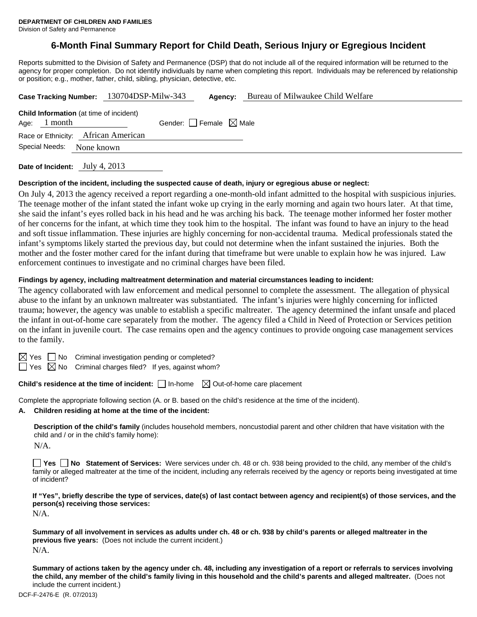# **6-Month Final Summary Report for Child Death, Serious Injury or Egregious Incident**

Reports submitted to the Division of Safety and Permanence (DSP) that do not include all of the required information will be returned to the agency for proper completion. Do not identify individuals by name when completing this report. Individuals may be referenced by relationship or position; e.g., mother, father, child, sibling, physician, detective, etc.

| Case Tracking Number: 130704DSP-Milw-343<br>Agency:                                                  | Bureau of Milwaukee Child Welfare |
|------------------------------------------------------------------------------------------------------|-----------------------------------|
| <b>Child Information</b> (at time of incident)<br>Gender: Female $\boxtimes$ Male<br>1 month<br>Age: |                                   |
| Race or Ethnicity: African American                                                                  |                                   |
| Special Needs:<br>None known                                                                         |                                   |

**Date of Incident:** July 4, 2013

#### **Description of the incident, including the suspected cause of death, injury or egregious abuse or neglect:**

On July 4, 2013 the agency received a report regarding a one-month-old infant admitted to the hospital with suspicious injuries. The teenage mother of the infant stated the infant woke up crying in the early morning and again two hours later. At that time, she said the infant's eyes rolled back in his head and he was arching his back. The teenage mother informed her foster mother of her concerns for the infant, at which time they took him to the hospital. The infant was found to have an injury to the head and soft tissue inflammation. These injuries are highly concerning for non-accidental trauma. Medical professionals stated the infant's symptoms likely started the previous day, but could not determine when the infant sustained the injuries. Both the mother and the foster mother cared for the infant during that timeframe but were unable to explain how he was injured. Law enforcement continues to investigate and no criminal charges have been filed.

#### **Findings by agency, including maltreatment determination and material circumstances leading to incident:**

The agency collaborated with law enforcement and medical personnel to complete the assessment. The allegation of physical abuse to the infant by an unknown maltreater was substantiated. The infant's injuries were highly concerning for inflicted trauma; however, the agency was unable to establish a specific maltreater. The agency determined the infant unsafe and placed the infant in out-of-home care separately from the mother. The agency filed a Child in Need of Protection or Services petition on the infant in juvenile court. The case remains open and the agency continues to provide ongoing case management services to the family.

 $\boxtimes$  Yes  $\Box$  No Criminal investigation pending or completed?

 $\Box$  Yes  $\boxtimes$  No Criminal charges filed? If yes, against whom?

## **Child's residence at the time of incident:**  $\Box$  In-home  $\Box$  Out-of-home care placement

Complete the appropriate following section (A. or B. based on the child's residence at the time of the incident).

**A. Children residing at home at the time of the incident:**

**Description of the child's family** (includes household members, noncustodial parent and other children that have visitation with the child and / or in the child's family home):

N/A.

**Yes No Statement of Services:** Were services under ch. 48 or ch. 938 being provided to the child, any member of the child's family or alleged maltreater at the time of the incident, including any referrals received by the agency or reports being investigated at time of incident?

**If "Yes", briefly describe the type of services, date(s) of last contact between agency and recipient(s) of those services, and the person(s) receiving those services:** 

N/A.

**Summary of all involvement in services as adults under ch. 48 or ch. 938 by child's parents or alleged maltreater in the previous five years:** (Does not include the current incident.) N/A.

**Summary of actions taken by the agency under ch. 48, including any investigation of a report or referrals to services involving the child, any member of the child's family living in this household and the child's parents and alleged maltreater.** (Does not include the current incident.)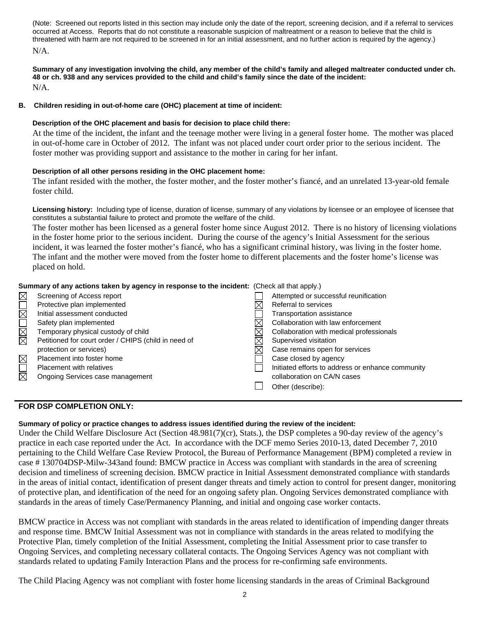(Note: Screened out reports listed in this section may include only the date of the report, screening decision, and if a referral to services occurred at Access. Reports that do not constitute a reasonable suspicion of maltreatment or a reason to believe that the child is threatened with harm are not required to be screened in for an initial assessment, and no further action is required by the agency.) N/A.

**Summary of any investigation involving the child, any member of the child's family and alleged maltreater conducted under ch. 48 or ch. 938 and any services provided to the child and child's family since the date of the incident:**  N/A.

### **B. Children residing in out-of-home care (OHC) placement at time of incident:**

### **Description of the OHC placement and basis for decision to place child there:**

At the time of the incident, the infant and the teenage mother were living in a general foster home. The mother was placed in out-of-home care in October of 2012. The infant was not placed under court order prior to the serious incident. The foster mother was providing support and assistance to the mother in caring for her infant.

### **Description of all other persons residing in the OHC placement home:**

The infant resided with the mother, the foster mother, and the foster mother's fiancé, and an unrelated 13-year-old female foster child.

**Licensing history:** Including type of license, duration of license, summary of any violations by licensee or an employee of licensee that constitutes a substantial failure to protect and promote the welfare of the child.

The foster mother has been licensed as a general foster home since August 2012. There is no history of licensing violations in the foster home prior to the serious incident. During the course of the agency's Initial Assessment for the serious incident, it was learned the foster mother's fiancé, who has a significant criminal history, was living in the foster home. The infant and the mother were moved from the foster home to different placements and the foster home's license was placed on hold.

| Summary of any actions taken by agency in response to the incident: (Check all that apply.) |                                                      |                                                   |  |
|---------------------------------------------------------------------------------------------|------------------------------------------------------|---------------------------------------------------|--|
| $\boxtimes$                                                                                 | Screening of Access report                           | Attempted or successful reunification             |  |
| $\Box$                                                                                      | Protective plan implemented                          | Referral to services                              |  |
|                                                                                             | Initial assessment conducted                         | <b>Transportation assistance</b>                  |  |
| N<br>M<br>M                                                                                 | Safety plan implemented                              | Collaboration with law enforcement                |  |
|                                                                                             | Temporary physical custody of child                  | Collaboration with medical professionals          |  |
|                                                                                             | Petitioned for court order / CHIPS (child in need of | Supervised visitation                             |  |
|                                                                                             | protection or services)                              | Case remains open for services                    |  |
| $\boxtimes$                                                                                 | Placement into foster home                           | Case closed by agency                             |  |
| $\overline{\Xi}$                                                                            | Placement with relatives                             | Initiated efforts to address or enhance community |  |
|                                                                                             | Ongoing Services case management                     | collaboration on CA/N cases                       |  |
|                                                                                             |                                                      | Other (describe):                                 |  |

### **FOR DSP COMPLETION ONLY:**

#### **Summary of policy or practice changes to address issues identified during the review of the incident:**

Under the Child Welfare Disclosure Act (Section 48.981(7)(cr), Stats.), the DSP completes a 90-day review of the agency's practice in each case reported under the Act. In accordance with the DCF memo Series 2010-13, dated December 7, 2010 pertaining to the Child Welfare Case Review Protocol, the Bureau of Performance Management (BPM) completed a review in case # 130704DSP-Milw-343and found: BMCW practice in Access was compliant with standards in the area of screening decision and timeliness of screening decision. BMCW practice in Initial Assessment demonstrated compliance with standards in the areas of initial contact, identification of present danger threats and timely action to control for present danger, monitoring of protective plan, and identification of the need for an ongoing safety plan. Ongoing Services demonstrated compliance with standards in the areas of timely Case/Permanency Planning, and initial and ongoing case worker contacts.

BMCW practice in Access was not compliant with standards in the areas related to identification of impending danger threats and response time. BMCW Initial Assessment was not in compliance with standards in the areas related to modifying the Protective Plan, timely completion of the Initial Assessment, completing the Initial Assessment prior to case transfer to Ongoing Services, and completing necessary collateral contacts. The Ongoing Services Agency was not compliant with standards related to updating Family Interaction Plans and the process for re-confirming safe environments.

The Child Placing Agency was not compliant with foster home licensing standards in the areas of Criminal Background